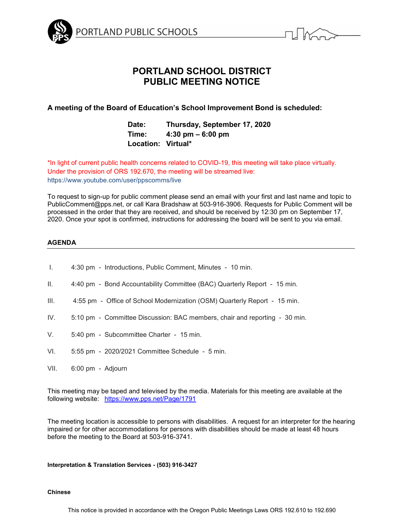



# **PORTLAND SCHOOL DISTRICT PUBLIC MEETING NOTICE**

# **A meeting of the Board of Education's School Improvement Bond is scheduled:**

# **Date: Thursday, September 17, 2020 Time: 4:30 pm – 6:00 pm Location: Virtual\***

\*In light of current public health concerns related to COVID-19, this meeting will take place virtually. Under the provision of ORS 192.670, the meeting will be streamed live: https://www.youtube.com/user/ppscomms/live

To request to sign-up for public comment please send an email with your first and last name and topic to PublicComment@pps.net, or call Kara Bradshaw at 503-916-3906. Requests for Public Comment will be processed in the order that they are received, and should be received by 12:30 pm on September 17, 2020. Once your spot is confirmed, instructions for addressing the board will be sent to you via email.

### **AGENDA**

| $\mathbf{L}$ | 4:30 pm - Introductions, Public Comment, Minutes - 10 min.                 |
|--------------|----------------------------------------------------------------------------|
| II.          | 4:40 pm - Bond Accountability Committee (BAC) Quarterly Report - 15 min.   |
| III.         | 4:55 pm - Office of School Modernization (OSM) Quarterly Report - 15 min.  |
| IV.          | 5:10 pm - Committee Discussion: BAC members, chair and reporting - 30 min. |
| V.           | 5:40 pm - Subcommittee Charter - 15 min.                                   |
| VI.          | 5:55 pm - 2020/2021 Committee Schedule - 5 min.                            |
| VII.         | 6:00 pm - Adjourn                                                          |

This meeting may be taped and televised by the media. Materials for this meeting are available at the following website: <https://www.pps.net/Page/1791>

The meeting location is accessible to persons with disabilities. A request for an interpreter for the hearing impaired or for other accommodations for persons with disabilities should be made at least 48 hours before the meeting to the Board at 503-916-3741.

### **Interpretation & Translation Services - (503) 916-3427**

### **Chinese**